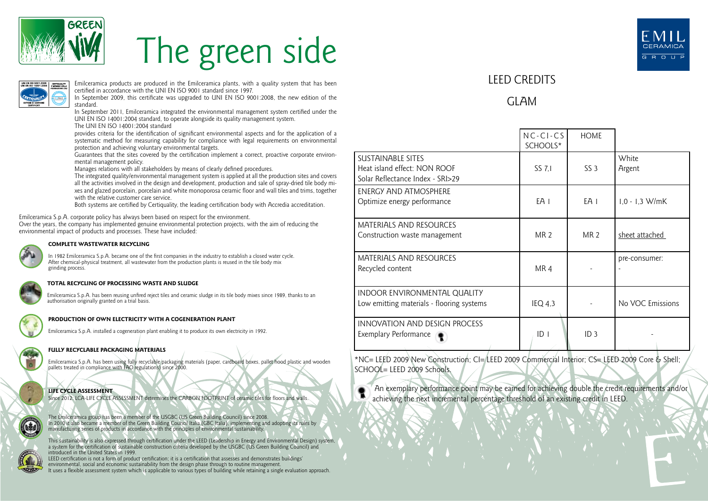

# The green side



Emilceramica products are produced in the Emilceramica plants, with a quality system that has been certified in accordance with the UNI EN ISO 9001 standard since 1997.

In September 2009, this certificate was upgraded to UNI EN ISO 9001:2008, the new edition of the standard.

In September 2011, Emilceramica integrated the environmental management system certified under the UNI EN ISO 14001:2004 standard, to operate alongside its quality management system.

The UNI EN ISO 14001:2004 standard

provides criteria for the identification of significant environmental aspects and for the application of a systematic method for measuring capability for compliance with legal requirements on environmental protection and achieving voluntary environmental targets.

Guarantees that the sites covered by the certification implement a correct, proactive corporate environmental management policy.

Manages relations with all stakeholders by means of clearly defined procedures.

The integrated quality/environmental management system is applied at all the production sites and covers all the activities involved in the design and development, production and sale of spray-dried tile body mixes and glazed porcelain, porcelain and white monoporosa ceramic floor and wall tiles and trims, together with the relative customer care service.

Both systems are certified by Certiquality, the leading certification body with Accredia accreditation.

Emilceramica S.p.A. corporate policy has always been based on respect for the environment.

Over the years, the company has implemented genuine environmental protection projects, with the aim of reducing the environmental impact of products and processes. These have included:



#### **COMPLETE WASTEWATER RECYCLING**

In 1982 Emilceramica S.p.A. became one of the first companies in the industry to establish a closed water cycle. After chemical-physical treatment, all wastewater from the production plants is reused in the tile body mix grinding process.

#### **TOTAL RECYCLING OF PROCESSING WASTE AND SLUDGE**

Emilceramica S.p.A. has been reusing unfired reject tiles and ceramic sludge in its tile body mixes since 1989, thanks to an authorisation originally granted on a trial basis.



#### **PRODUCTION OF OWN ELECTRICITY WITH A COGENERATION PLANT**

Emilceramica S.p.A. installed a cogeneration plant enabling it to produce its own electricity in 1992.

### **FULLY RECYCLABLE PACKAGING MATERIALS**

Emilceramica S.p.A. has been using fully recyclable packaging materials (paper, cardboard boxes, pallet hood plastic and wooden pallets treated in compliance with FAO regulations) since 2000.



**LIFE CYCLE ASSESSMENT**  Since 2012: LCA-LIFE CYCLE ASSESSMENT determines the CARBON FOOTPRINT of ceramic tiles for floors and walls.

The Emilceramica group has been a member of the USGBC (US Green Building Council) since 2008. In 2010 it also became a member of the Green Building Council Italia (GBC Italia), implementing and adopting its rules by manufacturing series of products in accordance with the principles of environmental sustainability.

This sustainability is also expressed through certification under the LEED (Leadership in Energy and Environmental Design) system,<br>a system for the certification of sustainable construction criteria developed by the USGBC introduced in the United States in 1999.

LEED certification is not a form of product certification; it is a certification that assesses and demonstrates buildings' environmental, social and economic sustainability from the design phase through to routine management. It uses a flexible assessment system which is applicable to various types of building while retaining a single evaluation approach.



## LEED CREDITS

## GLAM

|                                                                                              | $NC-CI-CS$<br>SCHOOLS* | <b>HOME</b>     |                  |
|----------------------------------------------------------------------------------------------|------------------------|-----------------|------------------|
| <b>SUSTAINABLE SITES</b><br>Heat island effect: NON ROOF<br>Solar Reflectance Index - SRI>29 | SS 7.1                 | SS <sub>3</sub> | White<br>Argent  |
| ENERGY AND ATMOSPHERE<br>Optimize energy performance                                         | EA I                   | EA I            | $1.0 - 1.3$ W/mK |
| MATERIALS AND RESOURCES<br>Construction waste management                                     | MR <sub>2</sub>        | MR <sub>2</sub> | sheet attached   |
| <b>MATERIALS AND RESOURCES</b><br>Recycled content                                           | MR4                    |                 | pre-consumer:    |
| INDOOR ENVIRONMENTAL QUALITY<br>Low emitting materials - flooring systems                    | $IEQ$ 4,3              |                 | No VOC Emissions |
| INNOVATION AND DESIGN PROCESS<br>Exemplary Performance                                       | ID <sub>1</sub>        | ID <sub>3</sub> |                  |

\*NC= LEED 2009 New Construction; CI= LEED 2009 Commercial Interior; CS= LEED 2009 Core & Shell;  $SCHOOI = I FFD 2009$  Schools.

 An exemplary performance point may be earned for achieving double the credit requirements and/or achieving the next incremental percentage threshold of an existing credit in LEED.